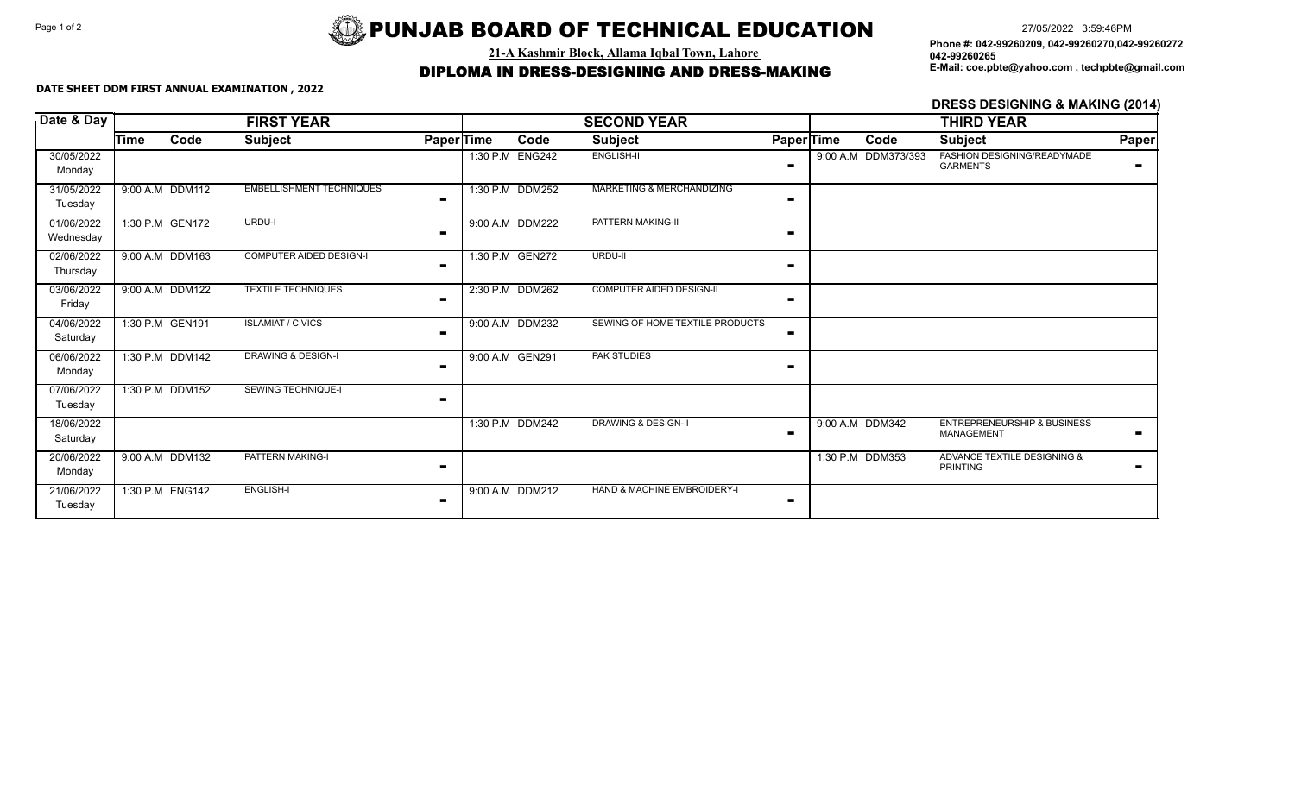# Page 1 of 2  $\leftarrow$  27/05/2022 3:59:46PM

**21-A Kashmir Block, Allama Iqbal Town, Lahore**

# **DIPLOMA IN DRESS-DESIGNING AND DRESS-MAKING** E-Mail: coe.pbte@yahoo.com , techpbte@gmail.com

**Phone #: 042-99260209, 042-99260270,042-99260272 042-99260265**

#### **DATE SHEET DDM FIRST ANNUAL EXAMINATION , 2022**

|                         |                   | <b>DRESS DESIGNING &amp; MAKING (2014)</b> |                                 |                |                    |                 |                                 |                   |                 |                     |                                                             |       |
|-------------------------|-------------------|--------------------------------------------|---------------------------------|----------------|--------------------|-----------------|---------------------------------|-------------------|-----------------|---------------------|-------------------------------------------------------------|-------|
| Date & Day              | <b>FIRST YEAR</b> |                                            |                                 |                | <b>SECOND YEAR</b> |                 |                                 | <b>THIRD YEAR</b> |                 |                     |                                                             |       |
|                         | Time              | Code                                       | <b>Subject</b>                  | Paper Time     |                    | Code            | <b>Subject</b>                  | Paper Time        |                 | Code                | <b>Subject</b>                                              | Paper |
| 30/05/2022<br>Monday    |                   |                                            |                                 |                |                    | 1:30 P.M ENG242 | <b>ENGLISH-II</b>               | $\blacksquare$    |                 | 9:00 A.M DDM373/393 | <b>FASHION DESIGNING/READYMADE</b><br><b>GARMENTS</b>       |       |
| 31/05/2022<br>Tuesday   |                   | 9:00 A.M DDM112                            | <b>EMBELLISHMENT TECHNIQUES</b> | $\blacksquare$ |                    | 1:30 P.M DDM252 | MARKETING & MERCHANDIZING       | $\blacksquare$    |                 |                     |                                                             |       |
| 01/06/2022<br>Wednesday |                   | 1:30 P.M GEN172                            | URDU-I                          | $\blacksquare$ |                    | 9:00 A.M DDM222 | <b>PATTERN MAKING-II</b>        | $\blacksquare$    |                 |                     |                                                             |       |
| 02/06/2022<br>Thursday  |                   | 9:00 A.M DDM163                            | <b>COMPUTER AIDED DESIGN-I</b>  | $\blacksquare$ |                    | 1:30 P.M GEN272 | URDU-II                         | $\blacksquare$    |                 |                     |                                                             |       |
| 03/06/2022<br>Friday    |                   | 9:00 A.M DDM122                            | <b>TEXTILE TECHNIQUES</b>       | ш.             |                    | 2:30 P.M DDM262 | <b>COMPUTER AIDED DESIGN-II</b> | $\blacksquare$    |                 |                     |                                                             |       |
| 04/06/2022<br>Saturday  |                   | 1:30 P.M GEN191                            | <b>ISLAMIAT / CIVICS</b>        | ш.             |                    | 9:00 A.M DDM232 | SEWING OF HOME TEXTILE PRODUCTS | $\blacksquare$    |                 |                     |                                                             |       |
| 06/06/2022<br>Monday    |                   | 1:30 P.M DDM142                            | <b>DRAWING &amp; DESIGN-I</b>   | $\blacksquare$ |                    | 9:00 A.M GEN291 | <b>PAK STUDIES</b>              | $\blacksquare$    |                 |                     |                                                             |       |
| 07/06/2022<br>Tuesday   |                   | 1:30 P.M DDM152                            | <b>SEWING TECHNIQUE-I</b>       | ш.             |                    |                 |                                 |                   |                 |                     |                                                             |       |
| 18/06/2022<br>Saturday  |                   |                                            |                                 |                |                    | 1:30 P.M DDM242 | <b>DRAWING &amp; DESIGN-II</b>  | $\blacksquare$    | 9:00 A.M DDM342 |                     | <b>ENTREPRENEURSHIP &amp; BUSINESS</b><br><b>MANAGEMENT</b> | -     |
| 20/06/2022<br>Monday    |                   | 9:00 A.M DDM132                            | PATTERN MAKING-I                | ш.             |                    |                 |                                 |                   |                 | 1:30 P.M DDM353     | <b>ADVANCE TEXTILE DESIGNING &amp;</b><br><b>PRINTING</b>   | -     |
| 21/06/2022<br>Tuesday   |                   | 1:30 P.M ENG142                            | <b>ENGLISH-I</b>                | $\blacksquare$ |                    | 9:00 A.M DDM212 | HAND & MACHINE EMBROIDERY-I     | $\blacksquare$    |                 |                     |                                                             |       |